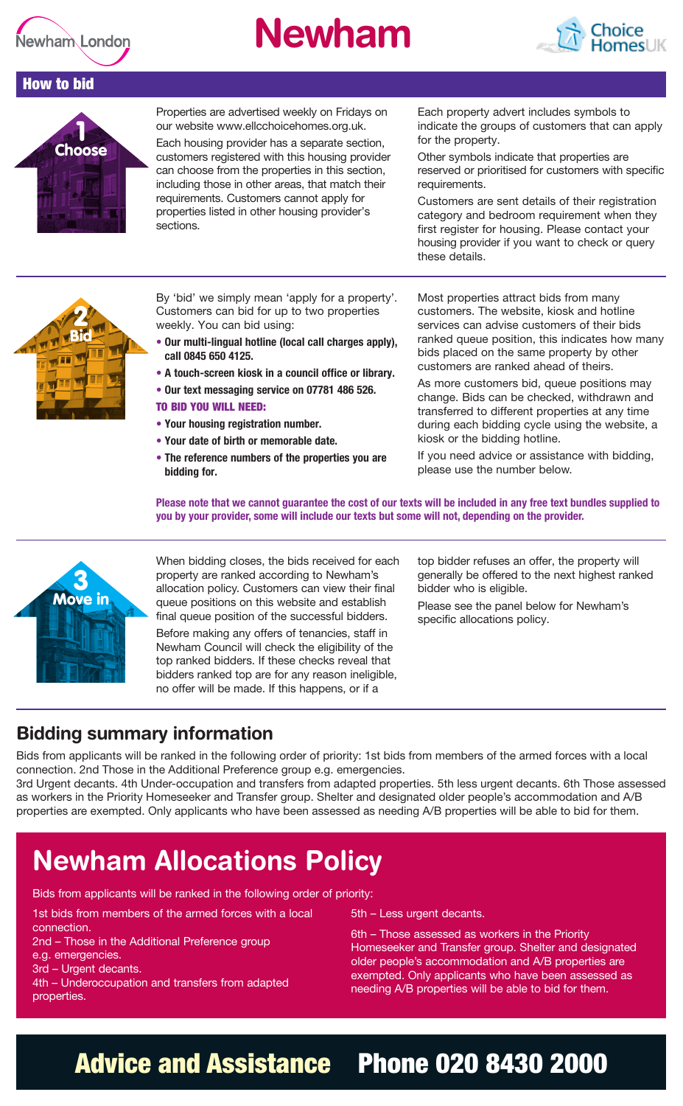

# **Newham**



#### How to bid



Properties are advertised weekly on Fridays on our website www.ellcchoicehomes.org.uk.

Each housing provider has a separate section, customers registered with this housing provider can choose from the properties in this section, including those in other areas, that match their requirements. Customers cannot apply for properties listed in other housing provider's sections.

Each property advert includes symbols to indicate the groups of customers that can apply for the property.

Other symbols indicate that properties are reserved or prioritised for customers with specific requirements.

Customers are sent details of their registration category and bedroom requirement when they first register for housing. Please contact your housing provider if you want to check or query these details.



By 'bid' we simply mean 'apply for a property'. Customers can bid for up to two properties weekly. You can bid using:

- **• Our multi-lingual hotline (local call charges apply), call 0845 650 4125.**
- **A touch-screen kiosk in a council office or library.**
- **• Our text messaging service on 07781 486 526.**

#### TO BID YOU WILL NEED:

- **• Your housing registration number.**
- **• Your date of birth or memorable date.**
- **• The reference numbers of the properties you are bidding for.**

Most properties attract bids from many customers. The website, kiosk and hotline services can advise customers of their bids ranked queue position, this indicates how many bids placed on the same property by other customers are ranked ahead of theirs.

As more customers bid, queue positions may change. Bids can be checked, withdrawn and transferred to different properties at any time during each bidding cycle using the website, a kiosk or the bidding hotline.

If you need advice or assistance with bidding, please use the number below.

**Please note that we cannot guarantee the cost of our texts will be included in any free text bundles supplied to you by your provider, some will include our texts but some will not, depending on the provider.**



When bidding closes, the bids received for each property are ranked according to Newham's allocation policy. Customers can view their final queue positions on this website and establish final queue position of the successful bidders.

Before making any offers of tenancies, staff in Newham Council will check the eligibility of the top ranked bidders. If these checks reveal that bidders ranked top are for any reason ineligible, no offer will be made. If this happens, or if a

top bidder refuses an offer, the property will generally be offered to the next highest ranked bidder who is eligible.

Please see the panel below for Newham's specific allocations policy.

### **Bidding summary information**

Bids from applicants will be ranked in the following order of priority: 1st bids from members of the armed forces with a local connection. 2nd Those in the Additional Preference group e.g. emergencies.

3rd Urgent decants. 4th Under-occupation and transfers from adapted properties. 5th less urgent decants. 6th Those assessed as workers in the Priority Homeseeker and Transfer group. Shelter and designated older people's accommodation and A/B properties are exempted. Only applicants who have been assessed as needing A/B properties will be able to bid for them.

## **Newham Allocations Policy**

Bids from applicants will be ranked in the following order of priority:

1st bids from members of the armed forces with a local

- connection.
- 2nd Those in the Additional Preference group e.g. emergencies.
- 3rd Urgent decants.
- 4th Underoccupation and transfers from adapted properties.
- 5th Less urgent decants.

6th – Those assessed as workers in the Priority Homeseeker and Transfer group. Shelter and designated older people's accommodation and A/B properties are exempted. Only applicants who have been assessed as needing A/B properties will be able to bid for them.

## Advice and Assistance Phone 020 8430 2000